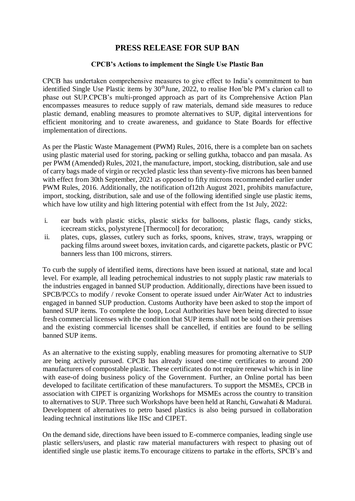## **PRESS RELEASE FOR SUP BAN**

## **CPCB's Actions to implement the Single Use Plastic Ban**

CPCB has undertaken comprehensive measures to give effect to India's commitment to ban identified Single Use Plastic items by  $30<sup>th</sup>$  June, 2022, to realise Hon'ble PM's clarion call to phase out SUP.CPCB's multi-pronged approach as part of its Comprehensive Action Plan encompasses measures to reduce supply of raw materials, demand side measures to reduce plastic demand, enabling measures to promote alternatives to SUP, digital interventions for efficient monitoring and to create awareness, and guidance to State Boards for effective implementation of directions.

As per the Plastic Waste Management (PWM) Rules, 2016, there is a complete ban on sachets using plastic material used for storing, packing or selling gutkha, tobacco and pan masala. As per PWM (Amended) Rules, 2021, the manufacture, import, stocking, distribution, sale and use of carry bags made of virgin or recycled plastic less than seventy-five microns has been banned with effect from 30th September, 2021 as opposed to fifty microns recommended earlier under PWM Rules, 2016. Additionally, the notification of12th August 2021, prohibits manufacture, import, stocking, distribution, sale and use of the following identified single use plastic items, which have low utility and high littering potential with effect from the 1st July, 2022:

- i. ear buds with plastic sticks, plastic sticks for balloons, plastic flags, candy sticks, icecream sticks, polystyrene [Thermocol] for decoration;
- ii. plates, cups, glasses, cutlery such as forks, spoons, knives, straw, trays, wrapping or packing films around sweet boxes, invitation cards, and cigarette packets, plastic or PVC banners less than 100 microns, stirrers.

To curb the supply of identified items, directions have been issued at national, state and local level. For example, all leading petrochemical industries to not supply plastic raw materials to the industries engaged in banned SUP production. Additionally, directions have been issued to SPCB/PCCs to modify / revoke Consent to operate issued under Air/Water Act to industries engaged in banned SUP production. Customs Authority have been asked to stop the import of banned SUP items. To complete the loop, Local Authorities have been being directed to issue fresh commercial licenses with the condition that SUP items shall not be sold on their premises and the existing commercial licenses shall be cancelled, if entities are found to be selling banned SUP items.

As an alternative to the existing supply, enabling measures for promoting alternative to SUP are being actively pursued. CPCB has already issued one-time certificates to around 200 manufacturers of compostable plastic. These certificates do not require renewal which is in line with ease-of doing business policy of the Government. Further, an Online portal has been developed to facilitate certification of these manufacturers. To support the MSMEs, CPCB in association with CIPET is organizing Workshops for MSMEs across the country to transition to alternatives to SUP. Three such Workshops have been held at Ranchi, Guwahati & Madurai. Development of alternatives to petro based plastics is also being pursued in collaboration leading technical institutions like IISc and CIPET.

On the demand side, directions have been issued to E-commerce companies, leading single use plastic sellers/users, and plastic raw material manufacturers with respect to phasing out of identified single use plastic items.To encourage citizens to partake in the efforts, SPCB's and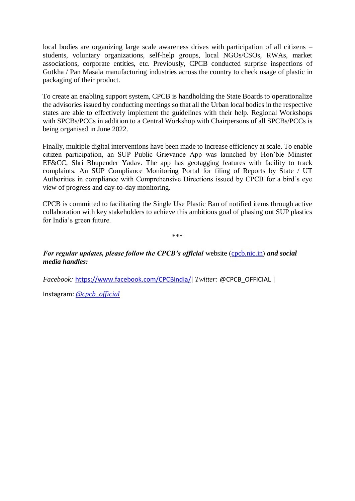local bodies are organizing large scale awareness drives with participation of all citizens – students, voluntary organizations, self-help groups, local NGOs/CSOs, RWAs, market associations, corporate entities, etc. Previously, CPCB conducted surprise inspections of Gutkha / Pan Masala manufacturing industries across the country to check usage of plastic in packaging of their product.

To create an enabling support system, CPCB is handholding the State Boards to operationalize the advisories issued by conducting meetings so that all the Urban local bodies in the respective states are able to effectively implement the guidelines with their help. Regional Workshops with SPCBs/PCCs in addition to a Central Workshop with Chairpersons of all SPCBs/PCCs is being organised in June 2022.

Finally, multiple digital interventions have been made to increase efficiency at scale. To enable citizen participation, an SUP Public Grievance App was launched by Hon'ble Minister EF&CC, Shri Bhupender Yadav. The app has geotagging features with facility to track complaints. An SUP Compliance Monitoring Portal for filing of Reports by State / UT Authorities in compliance with Comprehensive Directions issued by CPCB for a bird's eye view of progress and day-to-day monitoring.

CPCB is committed to facilitating the Single Use Plastic Ban of notified items through active collaboration with key stakeholders to achieve this ambitious goal of phasing out SUP plastics for India's green future.

\*\*\*

*For regular updates, please follow the CPCB's official website [\(cpcb.nic.in\)](https://t.co/z6DWUl2PwW) and social media handles:*

*Facebook:* <https://www.facebook.com/CPCBindia/>*[|](https://www.facebook.com/CPCBindia/) Twitter:* @CPCB\_OFFICIAL |

Instagram: *[@cpcb\\_official](https://www.google.com/url?sa=t&rct=j&q=&esrc=s&source=web&cd=&ved=2ahUKEwjbtqjrhLT4AhX_4TgGHbLhAWEQFnoECAgQAQ&url=https%3A%2F%2Fwww.instagram.com%2Fcpcb_official%2F&usg=AOvVaw2hrSYDI1TnIoVvILc025zd)*